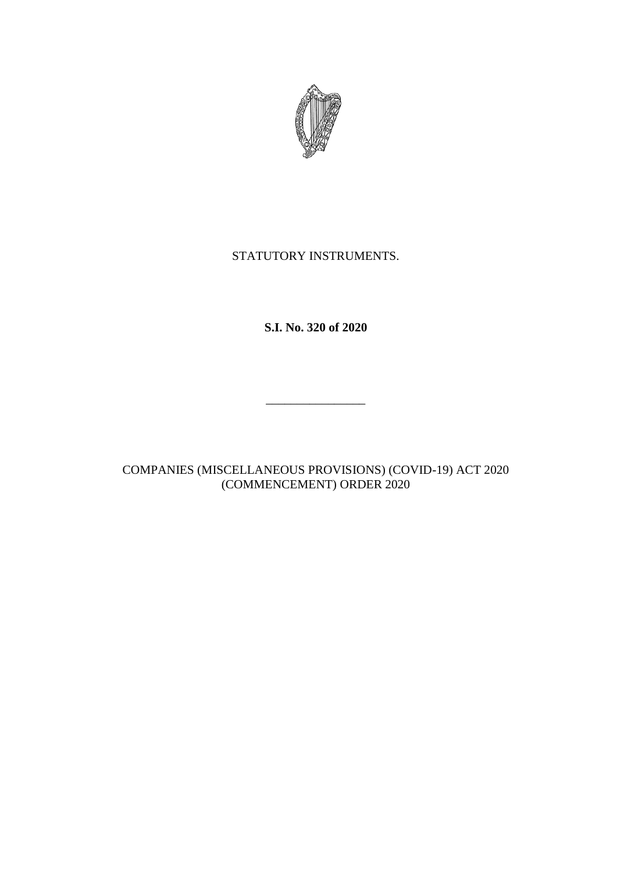

## STATUTORY INSTRUMENTS.

**S.I. No. 320 of 2020**

\_\_\_\_\_\_\_\_\_\_\_\_\_\_\_\_

COMPANIES (MISCELLANEOUS PROVISIONS) (COVID-19) ACT 2020 (COMMENCEMENT) ORDER 2020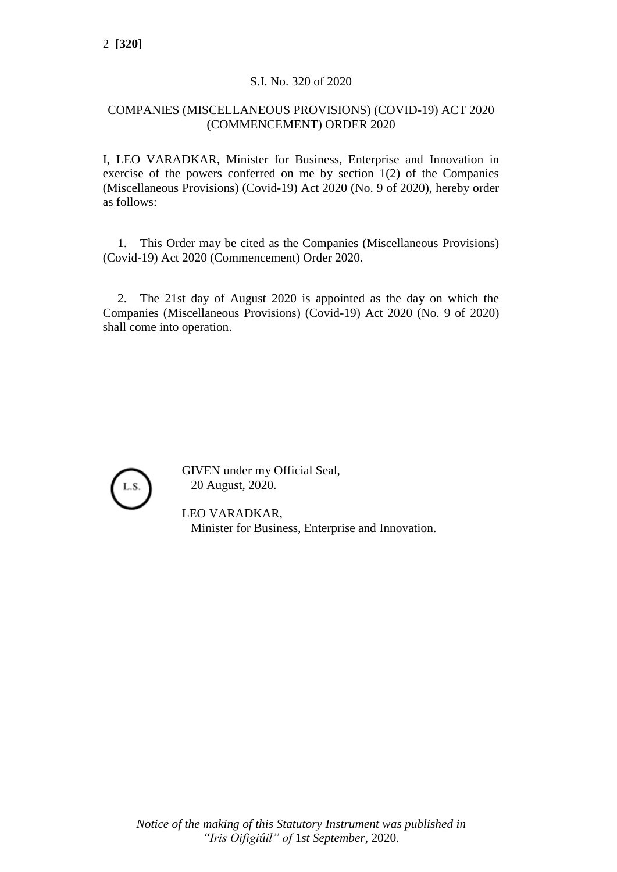## S.I. No. 320 of 2020

## COMPANIES (MISCELLANEOUS PROVISIONS) (COVID-19) ACT 2020 (COMMENCEMENT) ORDER 2020

I, LEO VARADKAR, Minister for Business, Enterprise and Innovation in exercise of the powers conferred on me by section 1(2) of the Companies (Miscellaneous Provisions) (Covid-19) Act 2020 (No. 9 of 2020), hereby order as follows:

1. This Order may be cited as the Companies (Miscellaneous Provisions) (Covid-19) Act 2020 (Commencement) Order 2020.

2. The 21st day of August 2020 is appointed as the day on which the Companies (Miscellaneous Provisions) (Covid-19) Act 2020 (No. 9 of 2020) shall come into operation.



GIVEN under my Official Seal, 20 August, 2020.

LEO VARADKAR, Minister for Business, Enterprise and Innovation.